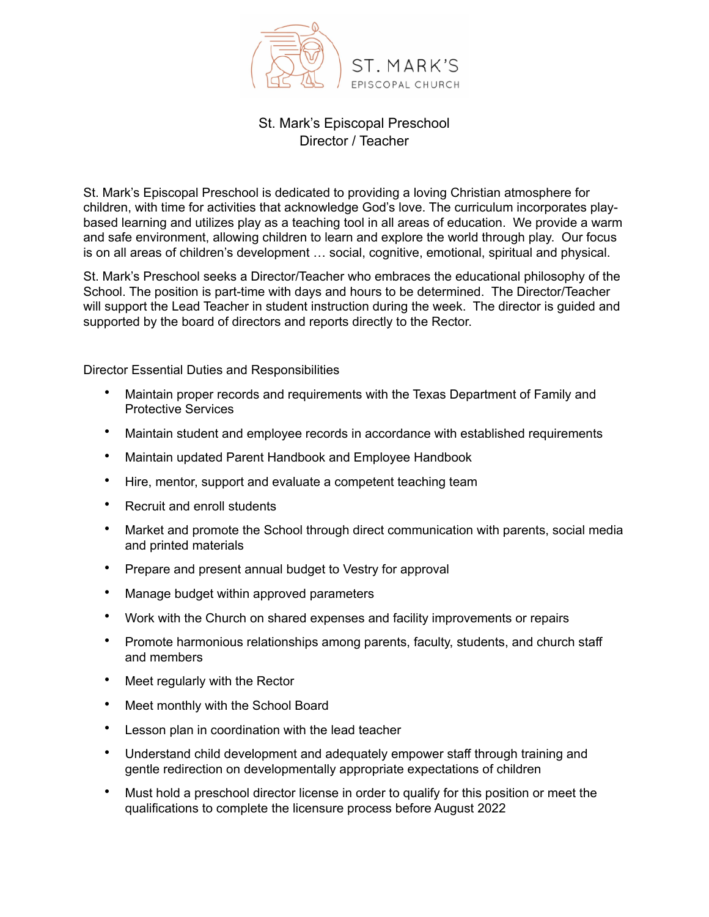

## St. Mark's Episcopal Preschool Director / Teacher

St. Mark's Episcopal Preschool is dedicated to providing a loving Christian atmosphere for children, with time for activities that acknowledge God's love. The curriculum incorporates playbased learning and utilizes play as a teaching tool in all areas of education. We provide a warm and safe environment, allowing children to learn and explore the world through play. Our focus is on all areas of children's development … social, cognitive, emotional, spiritual and physical.

St. Mark's Preschool seeks a Director/Teacher who embraces the educational philosophy of the School. The position is part-time with days and hours to be determined. The Director/Teacher will support the Lead Teacher in student instruction during the week. The director is guided and supported by the board of directors and reports directly to the Rector.

Director Essential Duties and Responsibilities

- Maintain proper records and requirements with the Texas Department of Family and Protective Services
- Maintain student and employee records in accordance with established requirements
- Maintain updated Parent Handbook and Employee Handbook
- Hire, mentor, support and evaluate a competent teaching team
- Recruit and enroll students
- Market and promote the School through direct communication with parents, social media and printed materials
- Prepare and present annual budget to Vestry for approval
- Manage budget within approved parameters
- Work with the Church on shared expenses and facility improvements or repairs
- Promote harmonious relationships among parents, faculty, students, and church staff and members
- Meet regularly with the Rector
- Meet monthly with the School Board
- Lesson plan in coordination with the lead teacher
- Understand child development and adequately empower staff through training and gentle redirection on developmentally appropriate expectations of children
- Must hold a preschool director license in order to qualify for this position or meet the qualifications to complete the licensure process before August 2022